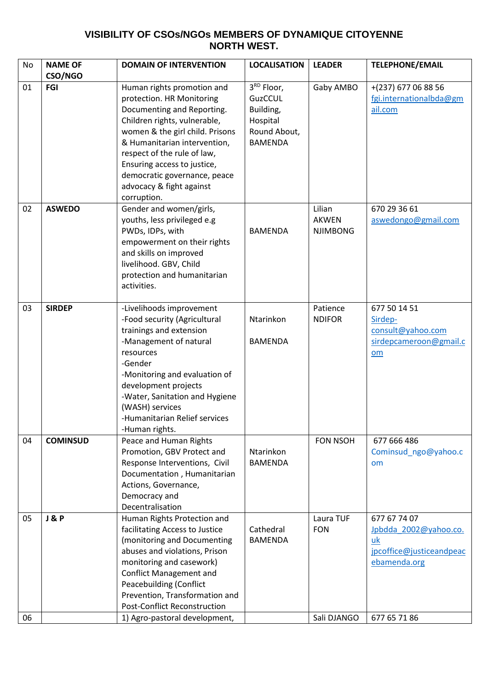## **VISIBILITY OF CSOs/NGOs MEMBERS OF DYNAMIQUE CITOYENNE NORTH WEST.**

| No       | <b>NAME OF</b>  | <b>DOMAIN OF INTERVENTION</b>                                                                                                                                                                                                                                                                                                           | <b>LOCALISATION</b>                                                              | <b>LEADER</b>                             | <b>TELEPHONE/EMAIL</b>                                                                                  |
|----------|-----------------|-----------------------------------------------------------------------------------------------------------------------------------------------------------------------------------------------------------------------------------------------------------------------------------------------------------------------------------------|----------------------------------------------------------------------------------|-------------------------------------------|---------------------------------------------------------------------------------------------------------|
|          | CSO/NGO         |                                                                                                                                                                                                                                                                                                                                         |                                                                                  |                                           |                                                                                                         |
| 01       | FGI             | Human rights promotion and<br>protection. HR Monitoring<br>Documenting and Reporting.<br>Children rights, vulnerable,<br>women & the girl child. Prisons<br>& Humanitarian intervention,<br>respect of the rule of law,<br>Ensuring access to justice,<br>democratic governance, peace<br>advocacy & fight against<br>corruption.       | 3RD Floor,<br>GuzCCUL<br>Building,<br>Hospital<br>Round About,<br><b>BAMENDA</b> | Gaby AMBO                                 | +(237) 677 06 88 56<br>fgi.internationalbda@gm<br>ail.com                                               |
| 02       | <b>ASWEDO</b>   | Gender and women/girls,<br>youths, less privileged e.g<br>PWDs, IDPs, with<br>empowerment on their rights<br>and skills on improved<br>livelihood. GBV, Child<br>protection and humanitarian<br>activities.                                                                                                                             | <b>BAMENDA</b>                                                                   | Lilian<br><b>AKWEN</b><br><b>NJIMBONG</b> | 670 29 36 61<br>aswedongo@gmail.com                                                                     |
| 03       | <b>SIRDEP</b>   | -Livelihoods improvement<br>-Food security (Agricultural<br>trainings and extension<br>-Management of natural<br>resources<br>-Gender<br>-Monitoring and evaluation of<br>development projects<br>-Water, Sanitation and Hygiene<br>(WASH) services<br>-Humanitarian Relief services<br>-Human rights.                                  | Ntarinkon<br><b>BAMENDA</b>                                                      | Patience<br><b>NDIFOR</b>                 | 677 50 14 51<br>Sirdep-<br>consult@yahoo.com<br>sirdepcameroon@gmail.c<br>om                            |
| 04       | <b>COMINSUD</b> | Peace and Human Rights<br>Promotion, GBV Protect and<br>Response Interventions, Civil<br>Documentation, Humanitarian<br>Actions, Governance,<br>Democracy and<br>Decentralisation                                                                                                                                                       | Ntarinkon<br><b>BAMENDA</b>                                                      | <b>FON NSOH</b>                           | 677 666 486<br>Cominsud_ngo@yahoo.c<br>om                                                               |
| 05<br>06 | J & P           | Human Rights Protection and<br>facilitating Access to Justice<br>(monitoring and Documenting<br>abuses and violations, Prison<br>monitoring and casework)<br><b>Conflict Management and</b><br><b>Peacebuilding (Conflict</b><br>Prevention, Transformation and<br><b>Post-Conflict Reconstruction</b><br>1) Agro-pastoral development, | Cathedral<br><b>BAMENDA</b>                                                      | Laura TUF<br><b>FON</b><br>Sali DJANGO    | 677 67 74 07<br>Jpbdda 2002@yahoo.co.<br>uk<br>jpcoffice@justiceandpeac<br>ebamenda.org<br>677 65 71 86 |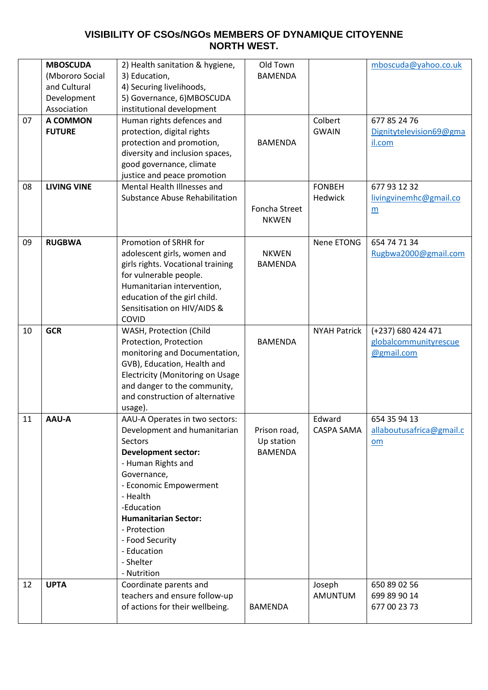## **VISIBILITY OF CSOs/NGOs MEMBERS OF DYNAMIQUE CITOYENNE NORTH WEST.**

|    | <b>MBOSCUDA</b><br>(Mbororo Social<br>and Cultural<br>Development<br>Association | 2) Health sanitation & hygiene,<br>3) Education,<br>4) Securing livelihoods,<br>5) Governance, 6)MBOSCUDA<br>institutional development                                                                                                                                                                        | Old Town<br><b>BAMENDA</b>                   |                             | mboscuda@yahoo.co.uk                                      |
|----|----------------------------------------------------------------------------------|---------------------------------------------------------------------------------------------------------------------------------------------------------------------------------------------------------------------------------------------------------------------------------------------------------------|----------------------------------------------|-----------------------------|-----------------------------------------------------------|
| 07 | <b>A COMMON</b><br><b>FUTURE</b>                                                 | Human rights defences and<br>protection, digital rights<br>protection and promotion,<br>diversity and inclusion spaces,<br>good governance, climate<br>justice and peace promotion                                                                                                                            | <b>BAMENDA</b>                               | Colbert<br><b>GWAIN</b>     | 677 85 24 76<br>Dignitytelevision69@gma<br>il.com         |
| 08 | <b>LIVING VINE</b>                                                               | Mental Health Illnesses and<br><b>Substance Abuse Rehabilitation</b>                                                                                                                                                                                                                                          | Foncha Street<br><b>NKWEN</b>                | <b>FONBEH</b><br>Hedwick    | 677 93 12 32<br>livingvinemhc@gmail.co<br>m               |
| 09 | <b>RUGBWA</b>                                                                    | Promotion of SRHR for<br>adolescent girls, women and<br>girls rights. Vocational training<br>for vulnerable people.<br>Humanitarian intervention,<br>education of the girl child.<br>Sensitisation on HIV/AIDS &<br><b>COVID</b>                                                                              | <b>NKWEN</b><br><b>BAMENDA</b>               | Nene ETONG                  | 654 74 71 34<br>Rugbwa2000@gmail.com                      |
| 10 | <b>GCR</b>                                                                       | WASH, Protection (Child<br>Protection, Protection<br>monitoring and Documentation,<br>GVB), Education, Health and<br><b>Electricity (Monitoring on Usage</b><br>and danger to the community,<br>and construction of alternative<br>usage).                                                                    | <b>BAMENDA</b>                               | <b>NYAH Patrick</b>         | (+237) 680 424 471<br>globalcommunityrescue<br>@gmail.com |
| 11 | AAU-A                                                                            | AAU-A Operates in two sectors:<br>Development and humanitarian<br>Sectors<br><b>Development sector:</b><br>- Human Rights and<br>Governance,<br>- Economic Empowerment<br>- Health<br>-Education<br><b>Humanitarian Sector:</b><br>- Protection<br>- Food Security<br>- Education<br>- Shelter<br>- Nutrition | Prison road,<br>Up station<br><b>BAMENDA</b> | Edward<br><b>CASPA SAMA</b> | 654 35 94 13<br>allaboutusafrica@gmail.c<br>om            |
| 12 | <b>UPTA</b>                                                                      | Coordinate parents and<br>teachers and ensure follow-up<br>of actions for their wellbeing.                                                                                                                                                                                                                    | <b>BAMENDA</b>                               | Joseph<br>AMUNTUM           | 650 89 02 56<br>699 89 90 14<br>677 00 23 73              |